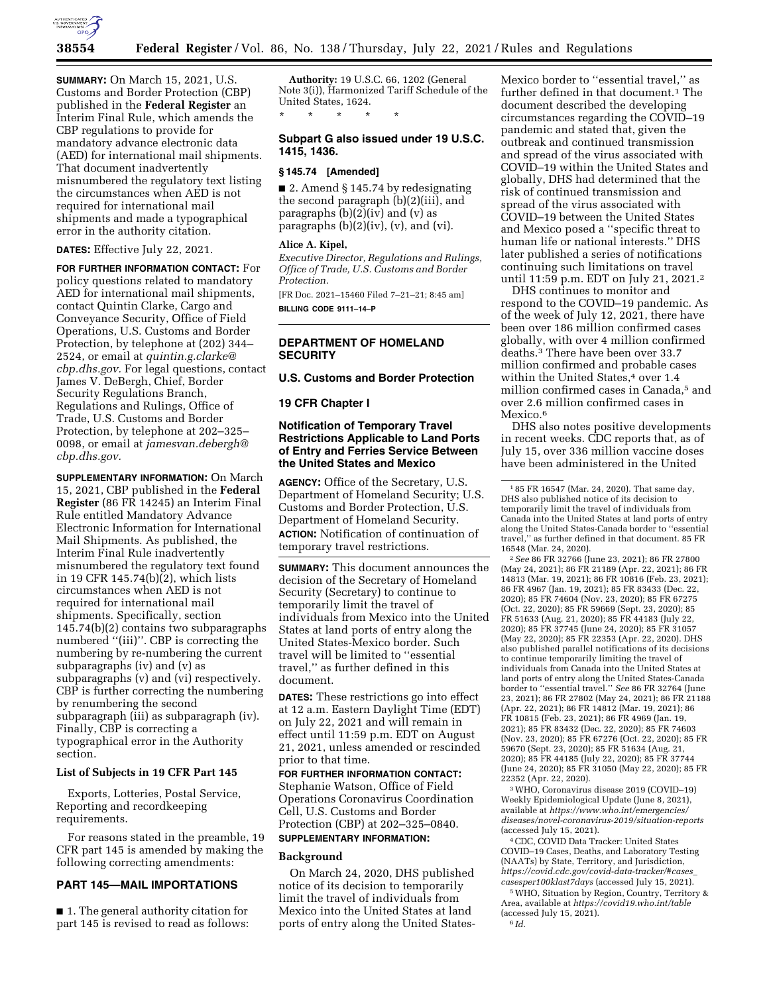

**SUMMARY:** On March 15, 2021, U.S. Customs and Border Protection (CBP) published in the **Federal Register** an Interim Final Rule, which amends the CBP regulations to provide for mandatory advance electronic data (AED) for international mail shipments. That document inadvertently misnumbered the regulatory text listing the circumstances when AED is not required for international mail shipments and made a typographical error in the authority citation.

**DATES:** Effective July 22, 2021.

**FOR FURTHER INFORMATION CONTACT:** For policy questions related to mandatory AED for international mail shipments, contact Quintin Clarke, Cargo and Conveyance Security, Office of Field Operations, U.S. Customs and Border Protection, by telephone at (202) 344– 2524, or email at *[quintin.g.clarke@](mailto:quintin.g.clarke@cbp.dhs.gov) [cbp.dhs.gov.](mailto:quintin.g.clarke@cbp.dhs.gov)* For legal questions, contact James V. DeBergh, Chief, Border Security Regulations Branch, Regulations and Rulings, Office of Trade, U.S. Customs and Border Protection, by telephone at 202–325– 0098, or email at *[jamesvan.debergh@](mailto:jamesvan.debergh@cbp.dhs.gov) [cbp.dhs.gov.](mailto:jamesvan.debergh@cbp.dhs.gov)* 

**SUPPLEMENTARY INFORMATION:** On March 15, 2021, CBP published in the **Federal Register** (86 FR 14245) an Interim Final Rule entitled Mandatory Advance Electronic Information for International Mail Shipments. As published, the Interim Final Rule inadvertently misnumbered the regulatory text found in 19 CFR 145.74(b)(2), which lists circumstances when AED is not required for international mail shipments. Specifically, section 145.74(b)(2) contains two subparagraphs numbered ''(iii)''. CBP is correcting the numbering by re-numbering the current subparagraphs (iv) and (v) as subparagraphs (v) and (vi) respectively. CBP is further correcting the numbering by renumbering the second subparagraph (iii) as subparagraph (iv). Finally, CBP is correcting a typographical error in the Authority section.

# **List of Subjects in 19 CFR Part 145**

Exports, Lotteries, Postal Service, Reporting and recordkeeping requirements.

For reasons stated in the preamble, 19 CFR part 145 is amended by making the following correcting amendments:

# **PART 145—MAIL IMPORTATIONS**

■ 1. The general authority citation for part 145 is revised to read as follows:

**Authority:** 19 U.S.C. 66, 1202 (General Note 3(i)), Harmonized Tariff Schedule of the United States, 1624. \* \* \* \* \*

## **Subpart G also issued under 19 U.S.C. 1415, 1436.**

## **§ 145.74 [Amended]**

■ 2. Amend § 145.74 by redesignating the second paragraph (b)(2)(iii), and paragraphs  $(b)(2)(iv)$  and  $(v)$  as paragraphs (b)(2)(iv), (v), and (vi).

#### **Alice A. Kipel,**

*Executive Director, Regulations and Rulings, Office of Trade, U.S. Customs and Border Protection.* 

[FR Doc. 2021–15460 Filed 7–21–21; 8:45 am] **BILLING CODE 9111–14–P** 

# **DEPARTMENT OF HOMELAND SECURITY**

**U.S. Customs and Border Protection** 

#### **19 CFR Chapter I**

# **Notification of Temporary Travel Restrictions Applicable to Land Ports of Entry and Ferries Service Between the United States and Mexico**

**AGENCY:** Office of the Secretary, U.S. Department of Homeland Security; U.S. Customs and Border Protection, U.S. Department of Homeland Security. **ACTION:** Notification of continuation of temporary travel restrictions.

**SUMMARY:** This document announces the decision of the Secretary of Homeland Security (Secretary) to continue to temporarily limit the travel of individuals from Mexico into the United States at land ports of entry along the United States-Mexico border. Such travel will be limited to ''essential travel,'' as further defined in this document.

**DATES:** These restrictions go into effect at 12 a.m. Eastern Daylight Time (EDT) on July 22, 2021 and will remain in effect until 11:59 p.m. EDT on August 21, 2021, unless amended or rescinded prior to that time.

**FOR FURTHER INFORMATION CONTACT:**  Stephanie Watson, Office of Field Operations Coronavirus Coordination Cell, U.S. Customs and Border Protection (CBP) at 202–325–0840.

# **SUPPLEMENTARY INFORMATION:**

## **Background**

On March 24, 2020, DHS published notice of its decision to temporarily limit the travel of individuals from Mexico into the United States at land ports of entry along the United StatesMexico border to ''essential travel,'' as further defined in that document.<sup>1</sup> The document described the developing circumstances regarding the COVID–19 pandemic and stated that, given the outbreak and continued transmission and spread of the virus associated with COVID–19 within the United States and globally, DHS had determined that the risk of continued transmission and spread of the virus associated with COVID–19 between the United States and Mexico posed a ''specific threat to human life or national interests.'' DHS later published a series of notifications continuing such limitations on travel until 11:59 p.m. EDT on July 21, 2021.2

DHS continues to monitor and respond to the COVID–19 pandemic. As of the week of July 12, 2021, there have been over 186 million confirmed cases globally, with over 4 million confirmed deaths.3 There have been over 33.7 million confirmed and probable cases within the United States,<sup>4</sup> over 1.4 million confirmed cases in Canada,5 and over 2.6 million confirmed cases in Mexico.<sup>6</sup>

DHS also notes positive developments in recent weeks. CDC reports that, as of July 15, over 336 million vaccine doses have been administered in the United

2*See* 86 FR 32766 (June 23, 2021); 86 FR 27800 (May 24, 2021); 86 FR 21189 (Apr. 22, 2021); 86 FR 14813 (Mar. 19, 2021); 86 FR 10816 (Feb. 23, 2021); 86 FR 4967 (Jan. 19, 2021); 85 FR 83433 (Dec. 22, 2020); 85 FR 74604 (Nov. 23, 2020); 85 FR 67275 (Oct. 22, 2020); 85 FR 59669 (Sept. 23, 2020); 85 FR 51633 (Aug. 21, 2020); 85 FR 44183 (July 22, 2020); 85 FR 37745 (June 24, 2020); 85 FR 31057 (May 22, 2020); 85 FR 22353 (Apr. 22, 2020). DHS also published parallel notifications of its decisions to continue temporarily limiting the travel of individuals from Canada into the United States at land ports of entry along the United States-Canada border to ''essential travel.'' *See* 86 FR 32764 (June 23, 2021); 86 FR 27802 (May 24, 2021); 86 FR 21188 (Apr. 22, 2021); 86 FR 14812 (Mar. 19, 2021); 86 FR 10815 (Feb. 23, 2021); 86 FR 4969 (Jan. 19, 2021); 85 FR 83432 (Dec. 22, 2020); 85 FR 74603 (Nov. 23, 2020); 85 FR 67276 (Oct. 22, 2020); 85 FR 59670 (Sept. 23, 2020); 85 FR 51634 (Aug. 21, 2020); 85 FR 44185 (July 22, 2020); 85 FR 37744 (June 24, 2020); 85 FR 31050 (May 22, 2020); 85 FR 22352 (Apr. 22, 2020).

3WHO, Coronavirus disease 2019 (COVID–19) Weekly Epidemiological Update (June 8, 2021), available at *[https://www.who.int/emergencies/](https://www.who.int/emergencies/diseases/novel-coronavirus-2019/situation-reports) [diseases/novel-coronavirus-2019/situation-reports](https://www.who.int/emergencies/diseases/novel-coronavirus-2019/situation-reports)*  (accessed July 15, 2021).

4CDC, COVID Data Tracker: United States COVID–19 Cases, Deaths, and Laboratory Testing (NAATs) by State, Territory, and Jurisdiction, *[https://covid.cdc.gov/covid-data-tracker/#cases](https://covid.cdc.gov/covid-data-tracker/#cases_casesper100klast7days)*\_ *[casesper100klast7days](https://covid.cdc.gov/covid-data-tracker/#cases_casesper100klast7days)* (accessed July 15, 2021).

5WHO, Situation by Region, Country, Territory & Area, available at *<https://covid19.who.int/table>*  (accessed July 15, 2021). 6 *Id.* 

<sup>1</sup> 85 FR 16547 (Mar. 24, 2020). That same day, DHS also published notice of its decision to temporarily limit the travel of individuals from Canada into the United States at land ports of entry along the United States-Canada border to ''essential travel,'' as further defined in that document. 85 FR 16548 (Mar. 24, 2020).